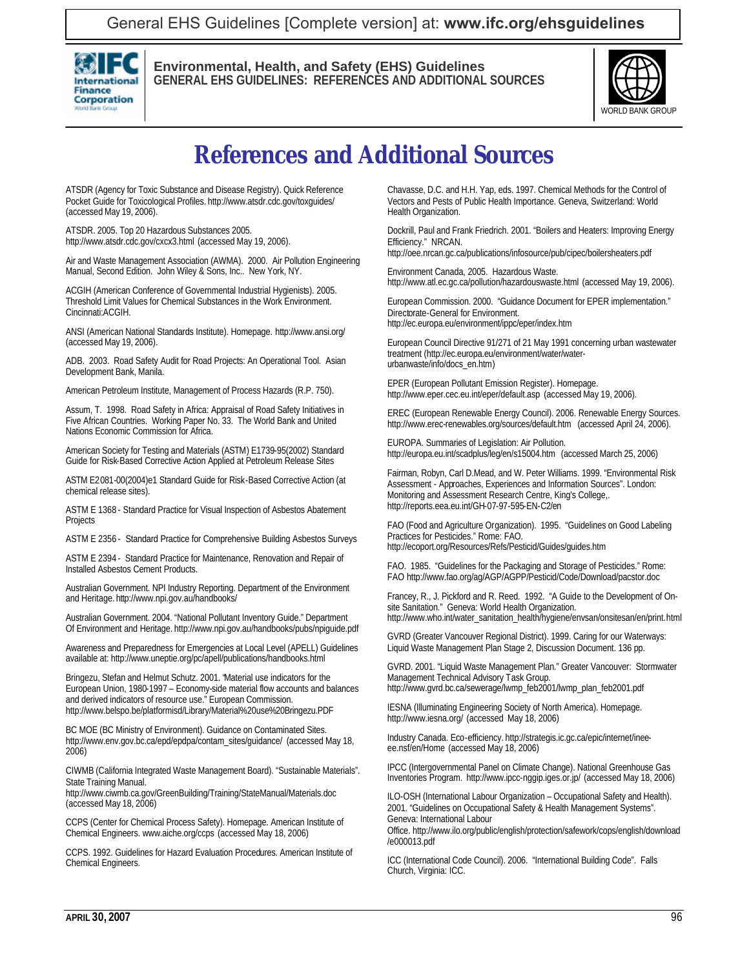

**Environmental, Health, and Safety (EHS) Guidelines GENERAL EHS GUIDELINES: REFERENCES AND ADDITIONAL SOURCES**



## **References and Additional Sources**

ATSDR (Agency for Toxic Substance and Disease Registry). Quick Reference Pocket Guide for Toxicological Profiles. http://www.atsdr.cdc.gov/toxguides/ (accessed May 19, 2006).

ATSDR. 2005. Top 20 Hazardous Substances 2005. http://www.atsdr.cdc.gov/cxcx3.html (accessed May 19, 2006).

Air and Waste Management Association (AWMA). 2000. Air Pollution Engineering Manual, Second Edition. John Wiley & Sons, Inc.. New York, NY.

ACGIH (American Conference of Governmental Industrial Hygienists). 2005. Threshold Limit Values for Chemical Substances in the Work Environment. Cincinnati:ACGIH.

ANSI (American National Standards Institute). Homepage. http://www.ansi.org/ (accessed May 19, 2006).

ADB. 2003. Road Safety Audit for Road Projects: An Operational Tool. Asian Development Bank, Manila.

American Petroleum Institute, Management of Process Hazards (R.P. 750).

Assum, T. 1998. Road Safety in Africa: Appraisal of Road Safety Initiatives in Five African Countries. Working Paper No. 33. The World Bank and United Nations Economic Commission for Africa.

American Society for Testing and Materials (ASTM) E1739-95(2002) Standard Guide for Risk-Based Corrective Action Applied at Petroleum Release Sites

ASTM E2081-00(2004)e1 Standard Guide for Risk-Based Corrective Action (at chemical release sites).

ASTM E 1368 - Standard Practice for Visual Inspection of Asbestos Abatement Projects

ASTM E 2356 - Standard Practice for Comprehensive Building Asbestos Surveys

ASTM E 2394 - Standard Practice for Maintenance, Renovation and Repair of Installed Asbestos Cement Products.

Australian Government. NPI Industry Reporting. Department of the Environment and Heritage. http://www.npi.gov.au/handbooks/

Australian Government. 2004. "National Pollutant Inventory Guide." Department Of Environment and Heritage. http://www.npi.gov.au/handbooks/pubs/npiguide.pdf

Awareness and Preparedness for Emergencies at Local Level (APELL) Guidelines available at: http://www.uneptie.org/pc/apell/publications/handbooks.html

Bringezu, Stefan and Helmut Schutz. 2001. "Material use indicators for the European Union, 1980-1997 – Economy-side material flow accounts and balances and derived indicators of resource use." European Commission. http://www.belspo.be/platformisd/Library/Material%20use%20Bringezu.PDF

BC MOE (BC Ministry of Environment). Guidance on Contaminated Sites. http://www.env.gov.bc.ca/epd/epdpa/contam\_sites/guidance/ (accessed May 18, 2006)

CIWMB (California Integrated Waste Management Board). "Sustainable Materials". State Training Manual.

http://www.ciwmb.ca.gov/GreenBuilding/Training/StateManual/Materials.doc (accessed May 18, 2006)

CCPS (Center for Chemical Process Safety). Homepage. American Institute of Chemical Engineers. www.aiche.org/ccps (accessed May 18, 2006)

CCPS. 1992. Guidelines for Hazard Evaluation Procedures. American Institute of Chemical Engineers.

Chavasse, D.C. and H.H. Yap, eds. 1997. Chemical Methods for the Control of Vectors and Pests of Public Health Importance. Geneva, Switzerland: World Health Organization.

Dockrill, Paul and Frank Friedrich. 2001. "Boilers and Heaters: Improving Energy Efficiency." NRCAN.

http://oee.nrcan.gc.ca/publications/infosource/pub/cipec/boilersheaters.pdf

Environment Canada, 2005. Hazardous Waste. http://www.atl.ec.gc.ca/pollution/hazardouswaste.html (accessed May 19, 2006).

European Commission. 2000. "Guidance Document for EPER implementation." Directorate-General for Environment. http://ec.europa.eu/environment/ippc/eper/index.htm

European Council Directive 91/271 of 21 May 1991 concerning urban wastewater treatment (http://ec.europa.eu/environment/water/waterurbanwaste/info/docs\_en.htm)

EPER (European Pollutant Emission Register). Homepage. http://www.eper.cec.eu.int/eper/default.asp (accessed May 19, 2006).

EREC (European Renewable Energy Council). 2006. Renewable Energy Sources. http://www.erec-renewables.org/sources/default.htm (accessed April 24, 2006).

EUROPA. Summaries of Legislation: Air Pollution. http://europa.eu.int/scadplus/leg/en/s15004.htm (accessed March 25, 2006)

Fairman, Robyn, Carl D.Mead, and W. Peter Williams. 1999. "Environmental Risk Assessment - Approaches, Experiences and Information Sources". London: Monitoring and Assessment Research Centre, King's College,. http://reports.eea.eu.int/GH-07-97-595-EN-C2/en

FAO (Food and Agriculture Organization). 1995. "Guidelines on Good Labeling Practices for Pesticides." Rome: FAO. http://ecoport.org/Resources/Refs/Pesticid/Guides/guides.htm

FAO. 1985. "Guidelines for the Packaging and Storage of Pesticides." Rome: FAO http://www.fao.org/ag/AGP/AGPP/Pesticid/Code/Download/pacstor.doc

Francey, R., J. Pickford and R. Reed. 1992. "A Guide to the Development of Onsite Sanitation." Geneva: World Health Organization. http://www.who.int/water\_sanitation\_health/hygiene/envsan/onsitesan/en/print.html

GVRD (Greater Vancouver Regional District). 1999. Caring for our Waterways: Liquid Waste Management Plan Stage 2, Discussion Document. 136 pp.

GVRD. 2001. "Liquid Waste Management Plan." Greater Vancouver: Stormwater Management Technical Advisory Task Group. http://www.gvrd.bc.ca/sewerage/lwmp\_feb2001/lwmp\_plan\_feb2001.pdf

IESNA (Illuminating Engineering Society of North America). Homepage. http://www.iesna.org/ (accessed May 18, 2006)

Industry Canada. Eco-efficiency. http://strategis.ic.gc.ca/epic/internet/ineeee.nsf/en/Home (accessed May 18, 2006)

IPCC (Intergovernmental Panel on Climate Change). National Greenhouse Gas Inventories Program. http://www.ipcc-nggip.iges.or.jp/ (accessed May 18, 2006)

ILO-OSH (International Labour Organization – Occupational Safety and Health). 2001. "Guidelines on Occupational Safety & Health Management Systems". Geneva: International Labour Office. http://www.ilo.org/public/english/protection/safework/cops/english/download

ICC (International Code Council). 2006. "International Building Code". Falls Church, Virginia: ICC.

/e000013.pdf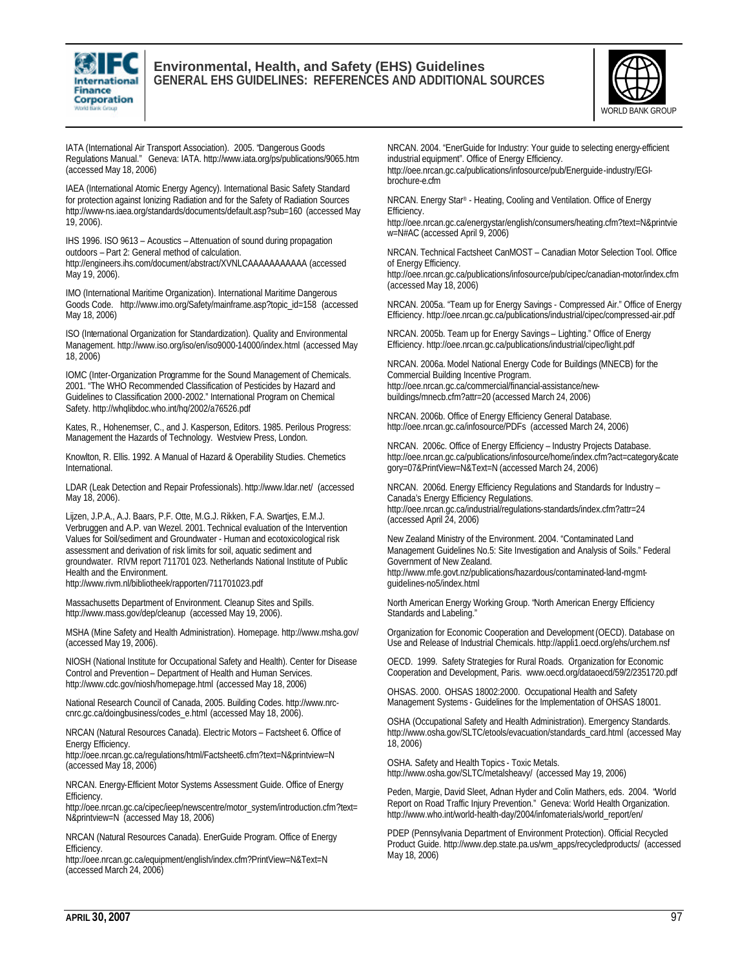

## **Environmental, Health, and Safety (EHS) Guidelines GENERAL EHS GUIDELINES: REFERENCES AND ADDITIONAL SOURCES**



IATA (International Air Transport Association). 2005. "Dangerous Goods Regulations Manual." Geneva: IATA. http://www.iata.org/ps/publications/9065.htm (accessed May 18, 2006)

IAEA (International Atomic Energy Agency). International Basic Safety Standard for protection against Ionizing Radiation and for the Safety of Radiation Sources http://www-ns.iaea.org/standards/documents/default.asp?sub=160 (accessed May 19, 2006).

IHS 1996. ISO 9613 – Acoustics – Attenuation of sound during propagation outdoors – Part 2: General method of calculation. http://engineers.ihs.com/document/abstract/XVNLCAAAAAAAAAAA (accessed May 19, 2006).

IMO (International Maritime Organization). International Maritime Dangerous Goods Code. http://www.imo.org/Safety/mainframe.asp?topic\_id=158 (accessed May 18, 2006)

ISO (International Organization for Standardization). Quality and Environmental Management. http://www.iso.org/iso/en/iso9000-14000/index.html (accessed May 18, 2006)

IOMC (Inter-Organization Programme for the Sound Management of Chemicals. 2001. "The WHO Recommended Classification of Pesticides by Hazard and Guidelines to Classification 2000-2002." International Program on Chemical Safety. http://whqlibdoc.who.int/hq/2002/a76526.pdf

Kates, R., Hohenemser, C., and J. Kasperson, Editors. 1985. Perilous Progress: Management the Hazards of Technology. Westview Press, London.

Knowlton, R. Ellis. 1992. A Manual of Hazard & Operability Studies. Chemetics International.

LDAR (Leak Detection and Repair Professionals). http://www.ldar.net/ (accessed May 18, 2006).

Lijzen, J.P.A., A.J. Baars, P.F. Otte, M.G.J. Rikken, F.A. Swartjes, E.M.J. Verbruggen and A.P. van Wezel. 2001. Technical evaluation of the Intervention Values for Soil/sediment and Groundwater - Human and ecotoxicological risk assessment and derivation of risk limits for soil, aquatic sediment and groundwater. RIVM report 711701 023. Netherlands National Institute of Public Health and the Environment.

http://www.rivm.nl/bibliotheek/rapporten/711701023.pdf

Massachusetts Department of Environment. Cleanup Sites and Spills. http://www.mass.gov/dep/cleanup (accessed May 19, 2006).

MSHA (Mine Safety and Health Administration). Homepage. http://www.msha.gov/ (accessed May 19, 2006).

NIOSH (National Institute for Occupational Safety and Health). Center for Disease Control and Prevention – Department of Health and Human Services. http://www.cdc.gov/niosh/homepage.html (accessed May 18, 2006)

National Research Council of Canada, 2005. Building Codes. http://www.nrccnrc.gc.ca/doingbusiness/codes\_e.html (accessed May 18, 2006).

NRCAN (Natural Resources Canada). Electric Motors – Factsheet 6. Office of Energy Efficiency.

http://oee.nrcan.gc.ca/regulations/html/Factsheet6.cfm?text=N&printview=N (accessed May 18, 2006)

NRCAN. Energy-Efficient Motor Systems Assessment Guide. Office of Energy Efficiency.

http://oee.nrcan.gc.ca/cipec/ieep/newscentre/motor\_system/introduction.cfm?text= N&printview=N (accessed May 18, 2006)

NRCAN (Natural Resources Canada). EnerGuide Program. Office of Energy Efficiency.

http://oee.nrcan.gc.ca/equipment/english/index.cfm?PrintView=N&Text=N (accessed March 24, 2006)

NRCAN. 2004. "EnerGuide for Industry: Your guide to selecting energy-efficient industrial equipment". Office of Energy Efficiency. http://oee.nrcan.gc.ca/publications/infosource/pub/Energuide-industry/EGIbrochure-e.cfm

NRCAN. Energy Star® - Heating, Cooling and Ventilation. Office of Energy Efficiency.

http://oee.nrcan.gc.ca/energystar/english/consumers/heating.cfm?text=N&printvie w=N#AC (accessed April 9, 2006)

NRCAN. Technical Factsheet CanMOST – Canadian Motor Selection Tool. Office of Energy Efficiency.

http://oee.nrcan.gc.ca/publications/infosource/pub/cipec/canadian-motor/index.cfm (accessed May 18, 2006)

NRCAN. 2005a. "Team up for Energy Savings - Compressed Air." Office of Energy Efficiency. http://oee.nrcan.gc.ca/publications/industrial/cipec/compressed-air.pdf

NRCAN. 2005b. Team up for Energy Savings – Lighting." Office of Energy Efficiency. http://oee.nrcan.gc.ca/publications/industrial/cipec/light.pdf

NRCAN. 2006a. Model National Energy Code for Buildings (MNECB) for the Commercial Building Incentive Program. http://oee.nrcan.gc.ca/commercial/financial-assistance/newbuildings/mnecb.cfm?attr=20 (accessed March 24, 2006)

NRCAN. 2006b. Office of Energy Efficiency General Database. http://oee.nrcan.gc.ca/infosource/PDFs (accessed March 24, 2006)

NRCAN. 2006c. Office of Energy Efficiency – Industry Projects Database. http://oee.nrcan.gc.ca/publications/infosource/home/index.cfm?act=category&cate gory=07&PrintView=N&Text=N (accessed March 24, 2006)

NRCAN. 2006d. Energy Efficiency Regulations and Standards for Industry – Canada's Energy Efficiency Regulations. http://oee.nrcan.gc.ca/industrial/regulations-standards/index.cfm?attr=24 (accessed April 24, 2006)

New Zealand Ministry of the Environment. 2004. "Contaminated Land Management Guidelines No.5: Site Investigation and Analysis of Soils." Federal Government of New Zealand. http://www.mfe.govt.nz/publications/hazardous/contaminated-land-mgmtguidelines-no5/index.html

North American Energy Working Group. "North American Energy Efficiency Standards and Labeling."

Organization for Economic Cooperation and Development (OECD). Database on Use and Release of Industrial Chemicals. http://appli1.oecd.org/ehs/urchem.nsf

OECD. 1999. Safety Strategies for Rural Roads. Organization for Economic Cooperation and Development, Paris. www.oecd.org/dataoecd/59/2/2351720.pdf

OHSAS. 2000. OHSAS 18002:2000. Occupational Health and Safety Management Systems - Guidelines for the Implementation of OHSAS 18001.

OSHA (Occupational Safety and Health Administration). Emergency Standards. http://www.osha.gov/SLTC/etools/evacuation/standards\_card.html (accessed May 18, 2006)

OSHA. Safety and Health Topics - Toxic Metals. http://www.osha.gov/SLTC/metalsheavy/ (accessed May 19, 2006)

Peden, Margie, David Sleet, Adnan Hyder and Colin Mathers, eds. 2004. "World Report on Road Traffic Injury Prevention." Geneva: World Health Organization. http://www.who.int/world-health-day/2004/infomaterials/world\_report/en/

PDEP (Pennsylvania Department of Environment Protection). Official Recycled Product Guide. http://www.dep.state.pa.us/wm\_apps/recycledproducts/ (accessed May 18, 2006)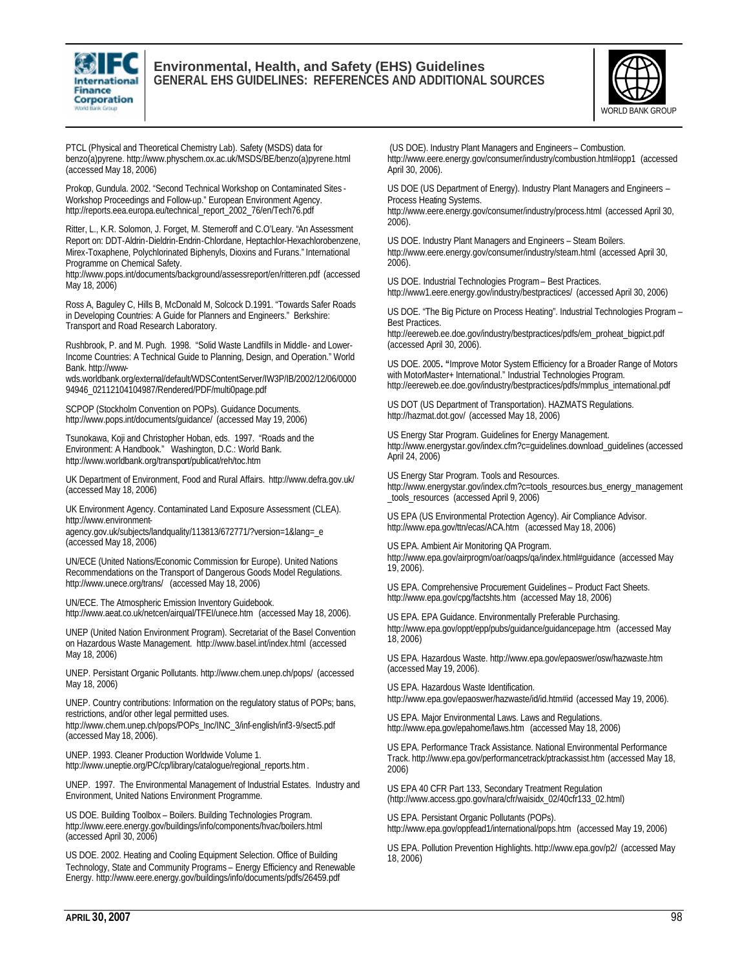

## **Environmental, Health, and Safety (EHS) Guidelines GENERAL EHS GUIDELINES: REFERENCES AND ADDITIONAL SOURCES**



PTCL (Physical and Theoretical Chemistry Lab). Safety (MSDS) data for benzo(a)pyrene. http://www.physchem.ox.ac.uk/MSDS/BE/benzo(a)pyrene.html (accessed May 18, 2006)

Prokop, Gundula. 2002. "Second Technical Workshop on Contaminated Sites - Workshop Proceedings and Follow-up." European Environment Agency. http://reports.eea.europa.eu/technical\_report\_2002\_76/en/Tech76.pdf

Ritter, L., K.R. Solomon, J. Forget, M. Stemeroff and C.O'Leary. "An Assessment Report on: DDT-Aldrin-Dieldrin-Endrin-Chlordane, Heptachlor-Hexachlorobenzene, Mirex-Toxaphene, Polychlorinated Biphenyls, Dioxins and Furans." International Programme on Chemical Safety.

http://www.pops.int/documents/background/assessreport/en/ritteren.pdf (accessed May 18, 2006)

Ross A, Baguley C, Hills B, McDonald M, Solcock D.1991. "Towards Safer Roads in Developing Countries: A Guide for Planners and Engineers." Berkshire: Transport and Road Research Laboratory.

Rushbrook, P. and M. Pugh. 1998. "Solid Waste Landfills in Middle- and Lower-Income Countries: A Technical Guide to Planning, Design, and Operation." World Bank. http://www-

wds.worldbank.org/external/default/WDSContentServer/IW3P/IB/2002/12/06/0000 94946\_02112104104987/Rendered/PDF/multi0page.pdf

SCPOP (Stockholm Convention on POPs). Guidance Documents. http://www.pops.int/documents/guidance/ (accessed May 19, 2006)

Tsunokawa, Koji and Christopher Hoban, eds. 1997. "Roads and the Environment: A Handbook." Washington, D.C.: World Bank. http://www.worldbank.org/transport/publicat/reh/toc.htm

UK Department of Environment, Food and Rural Affairs. http://www.defra.gov.uk/ (accessed May 18, 2006)

UK Environment Agency. Contaminated Land Exposure Assessment (CLEA). http://www.environment-

agency.gov.uk/subjects/landquality/113813/672771/?version=1&lang=\_e (accessed May 18, 2006)

UN/ECE (United Nations/Economic Commission for Europe). United Nations Recommendations on the Transport of Dangerous Goods Model Regulations. http://www.unece.org/trans/ (accessed May 18, 2006)

UN/ECE. The Atmospheric Emission Inventory Guidebook. http://www.aeat.co.uk/netcen/airqual/TFEI/unece.htm (accessed May 18, 2006).

UNEP (United Nation Environment Program). Secretariat of the Basel Convention on Hazardous Waste Management. http://www.basel.int/index.html (accessed May 18, 2006)

UNEP. Persistant Organic Pollutants. http://www.chem.unep.ch/pops/ (accessed May 18, 2006)

UNEP. Country contributions: Information on the regulatory status of POPs; bans, restrictions, and/or other legal permitted uses.

http://www.chem.unep.ch/pops/POPs\_Inc/INC\_3/inf-english/inf3-9/sect5.pdf (accessed May 18, 2006).

UNEP. 1993. Cleaner Production Worldwide Volume 1. http://www.uneptie.org/PC/cp/library/catalogue/regional\_reports.htm.

UNEP. 1997. The Environmental Management of Industrial Estates. Industry and Environment, United Nations Environment Programme.

US DOE. Building Toolbox – Boilers. Building Technologies Program. http://www.eere.energy.gov/buildings/info/components/hvac/boilers.html (accessed April 30, 2006)

US DOE. 2002. Heating and Cooling Equipment Selection. Office of Building Technology, State and Community Programs – Energy Efficiency and Renewable Energy. http://www.eere.energy.gov/buildings/info/documents/pdfs/26459.pdf

 (US DOE). Industry Plant Managers and Engineers – Combustion. http://www.eere.energy.gov/consumer/industry/combustion.html#opp1 (accessed April 30, 2006).

US DOE (US Department of Energy). Industry Plant Managers and Engineers – Process Heating Systems.

http://www.eere.energy.gov/consumer/industry/process.html (accessed April 30, 2006).

US DOE. Industry Plant Managers and Engineers – Steam Boilers. http://www.eere.energy.gov/consumer/industry/steam.html (accessed April 30, 2006).

US DOE. Industrial Technologies Program – Best Practices. http://www1.eere.energy.gov/industry/bestpractices/ (accessed April 30, 2006)

US DOE. "The Big Picture on Process Heating". Industrial Technologies Program – Best Practices.

http://eereweb.ee.doe.gov/industry/bestpractices/pdfs/em\_proheat\_bigpict.pdf (accessed April 30, 2006).

US DOE. 2005**. "**Improve Motor System Efficiency for a Broader Range of Motors with MotorMaster+ International." Industrial Technologies Program. http://eereweb.ee.doe.gov/industry/bestpractices/pdfs/mmplus\_international.pdf

US DOT (US Department of Transportation). HAZMATS Regulations. http://hazmat.dot.gov/ (accessed May 18, 2006)

US Energy Star Program. Guidelines for Energy Management. http://www.energystar.gov/index.cfm?c=guidelines.download\_guidelines (accessed April 24, 2006)

US Energy Star Program. Tools and Resources. http://www.energystar.gov/index.cfm?c=tools\_resources.bus\_energy\_management \_tools\_resources (accessed April 9, 2006)

US EPA (US Environmental Protection Agency). Air Compliance Advisor. http://www.epa.gov/ttn/ecas/ACA.htm (accessed May 18, 2006)

US EPA. Ambient Air Monitoring QA Program. http://www.epa.gov/airprogm/oar/oaqps/qa/index.html#guidance (accessed May 19, 2006).

US EPA. Comprehensive Procurement Guidelines – Product Fact Sheets. http://www.epa.gov/cpg/factshts.htm (accessed May 18, 2006)

US EPA. EPA Guidance. Environmentally Preferable Purchasing. http://www.epa.gov/oppt/epp/pubs/guidance/guidancepage.htm (accessed May 18, 2006)

US EPA. Hazardous Waste. http://www.epa.gov/epaoswer/osw/hazwaste.htm (accessed May 19, 2006).

US EPA. Hazardous Waste Identification. http://www.epa.gov/epaoswer/hazwaste/id/id.htm#id (accessed May 19, 2006).

US EPA. Major Environmental Laws. Laws and Regulations. http://www.epa.gov/epahome/laws.htm (accessed May 18, 2006)

US EPA. Performance Track Assistance. National Environmental Performance Track. http://www.epa.gov/performancetrack/ptrackassist.htm (accessed May 18, 2006)

US EPA 40 CFR Part 133, Secondary Treatment Regulation (http://www.access.gpo.gov/nara/cfr/waisidx\_02/40cfr133\_02.html)

US EPA. Persistant Organic Pollutants (POPs). http://www.epa.gov/oppfead1/international/pops.htm (accessed May 19, 2006)

US EPA. Pollution Prevention Highlights. http://www.epa.gov/p2/ (accessed May 18, 2006)